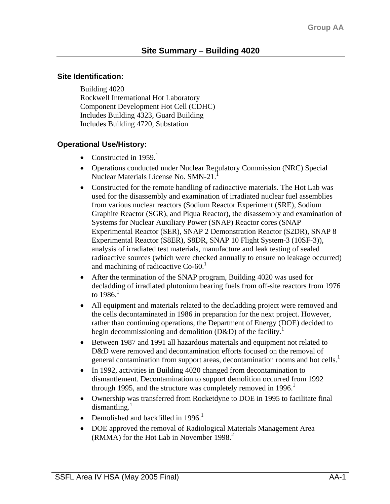#### **Site Identification:**

Building 4020 Rockwell International Hot Laboratory Component Development Hot Cell (CDHC) Includes Building 4323, Guard Building Includes Building 4720, Substation

## **Operational Use/History:**

- Constructed in  $1959$ <sup>1</sup>
- Operations conducted under Nuclear Regulatory Commission (NRC) Special Nuclear Materials License No. SMN-21.<sup>1</sup>
- Constructed for the remote handling of radioactive materials. The Hot Lab was used for the disassembly and examination of irradiated nuclear fuel assemblies from various nuclear reactors (Sodium Reactor Experiment (SRE), Sodium Graphite Reactor (SGR), and Piqua Reactor), the disassembly and examination of Systems for Nuclear Auxiliary Power (SNAP) Reactor cores (SNAP Experimental Reactor (SER), SNAP 2 Demonstration Reactor (S2DR), SNAP 8 Experimental Reactor (S8ER), S8DR, SNAP 10 Flight System-3 (10SF-3)), analysis of irradiated test materials, manufacture and leak testing of sealed radioactive sources (which were checked annually to ensure no leakage occurred) and machining of radioactive  $Co-60<sup>1</sup>$
- After the termination of the SNAP program, Building 4020 was used for decladding of irradiated plutonium bearing fuels from off-site reactors from 1976 to  $1986.1$
- All equipment and materials related to the decladding project were removed and the cells decontaminated in 1986 in preparation for the next project. However, rather than continuing operations, the Department of Energy (DOE) decided to begin decommissioning and demolition  $(D&D)$  of the facility.<sup>1</sup>
- Between 1987 and 1991 all hazardous materials and equipment not related to D&D were removed and decontamination efforts focused on the removal of general contamination from support areas, decontamination rooms and hot cells.<sup>1</sup>
- In 1992, activities in Building 4020 changed from decontamination to dismantlement. Decontamination to support demolition occurred from 1992 through 1995, and the structure was completely removed in  $1996<sup>1</sup>$
- Ownership was transferred from Rocketdyne to DOE in 1995 to facilitate final  $dismantline<sup>1</sup>$
- Demolished and backfilled in  $1996<sup>1</sup>$
- DOE approved the removal of Radiological Materials Management Area (RMMA) for the Hot Lab in November  $1998.<sup>2</sup>$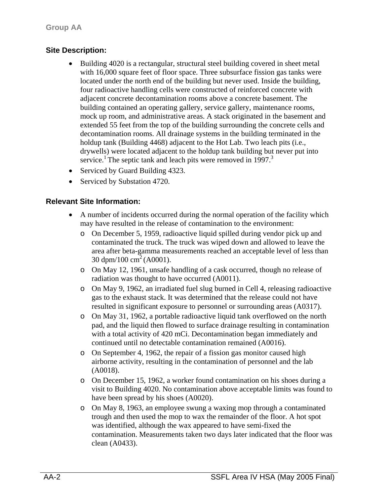## **Site Description:**

- Building 4020 is a rectangular, structural steel building covered in sheet metal with 16,000 square feet of floor space. Three subsurface fission gas tanks were located under the north end of the building but never used. Inside the building, four radioactive handling cells were constructed of reinforced concrete with adjacent concrete decontamination rooms above a concrete basement. The building contained an operating gallery, service gallery, maintenance rooms, mock up room, and administrative areas. A stack originated in the basement and extended 55 feet from the top of the building surrounding the concrete cells and decontamination rooms. All drainage systems in the building terminated in the holdup tank (Building 4468) adjacent to the Hot Lab. Two leach pits (i.e., drywells) were located adjacent to the holdup tank building but never put into service.<sup>1</sup> The septic tank and leach pits were removed in 1997.<sup>3</sup>
- Serviced by Guard Building 4323.
- Serviced by Substation 4720.

### **Relevant Site Information:**

- A number of incidents occurred during the normal operation of the facility which may have resulted in the release of contamination to the environment:
	- o On December 5, 1959, radioactive liquid spilled during vendor pick up and contaminated the truck. The truck was wiped down and allowed to leave the area after beta-gamma measurements reached an acceptable level of less than 30 dpm/100 cm<sup>2</sup> (A0001).
	- o On May 12, 1961, unsafe handling of a cask occurred, though no release of radiation was thought to have occurred (A0011).
	- o On May 9, 1962, an irradiated fuel slug burned in Cell 4, releasing radioactive gas to the exhaust stack. It was determined that the release could not have resulted in significant exposure to personnel or surrounding areas (A0317).
	- o On May 31, 1962, a portable radioactive liquid tank overflowed on the north pad, and the liquid then flowed to surface drainage resulting in contamination with a total activity of 420 mCi. Decontamination began immediately and continued until no detectable contamination remained (A0016).
	- o On September 4, 1962, the repair of a fission gas monitor caused high airborne activity, resulting in the contamination of personnel and the lab (A0018).
	- o On December 15, 1962, a worker found contamination on his shoes during a visit to Building 4020. No contamination above acceptable limits was found to have been spread by his shoes (A0020).
	- o On May 8, 1963, an employee swung a waxing mop through a contaminated trough and then used the mop to wax the remainder of the floor. A hot spot was identified, although the wax appeared to have semi-fixed the contamination. Measurements taken two days later indicated that the floor was clean (A0433).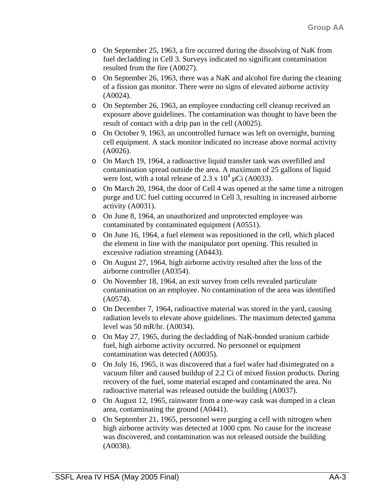- o On September 25, 1963, a fire occurred during the dissolving of NaK from fuel decladding in Cell 3. Surveys indicated no significant contamination resulted from the fire (A0027).
- o On September 26, 1963, there was a NaK and alcohol fire during the cleaning of a fission gas monitor. There were no signs of elevated airborne activity (A0024).
- o On September 26, 1963, an employee conducting cell cleanup received an exposure above guidelines. The contamination was thought to have been the result of contact with a drip pan in the cell (A0025).
- o On October 9, 1963, an uncontrolled furnace was left on overnight, burning cell equipment. A stack monitor indicated no increase above normal activity (A0026).
- o On March 19, 1964, a radioactive liquid transfer tank was overfilled and contamination spread outside the area. A maximum of 25 gallons of liquid were lost, with a total release of 2.3 x  $10^4 \mu$ Ci (A0033).
- o On March 20, 1964, the door of Cell 4 was opened at the same time a nitrogen purge and UC fuel cutting occurred in Cell 3, resulting in increased airborne activity (A0031).
- o On June 8, 1964, an unauthorized and unprotected employee was contaminated by contaminated equipment (A0551).
- o On June 16, 1964, a fuel element was repositioned in the cell, which placed the element in line with the manipulator port opening. This resulted in excessive radiation streaming (A0443).
- o On August 27, 1964, high airborne activity resulted after the loss of the airborne controller (A0354).
- o On November 18, 1964, an exit survey from cells revealed particulate contamination on an employee. No contamination of the area was identified (A0574).
- o On December 7, 1964, radioactive material was stored in the yard, causing radiation levels to elevate above guidelines. The maximum detected gamma level was 50 mR/hr. (A0034).
- o On May 27, 1965, during the decladding of NaK-bonded uranium carbide fuel, high airborne activity occurred. No personnel or equipment contamination was detected (A0035).
- o On July 16, 1965, it was discovered that a fuel wafer had disintegrated on a vacuum filter and caused buildup of 2.2 Ci of mixed fission products. During recovery of the fuel, some material escaped and contaminated the area. No radioactive material was released outside the building (A0037).
- o On August 12, 1965, rainwater from a one-way cask was dumped in a clean area, contaminating the ground (A0441).
- o On September 21, 1965, personnel were purging a cell with nitrogen when high airborne activity was detected at 1000 cpm. No cause for the increase was discovered, and contamination was not released outside the building (A0038).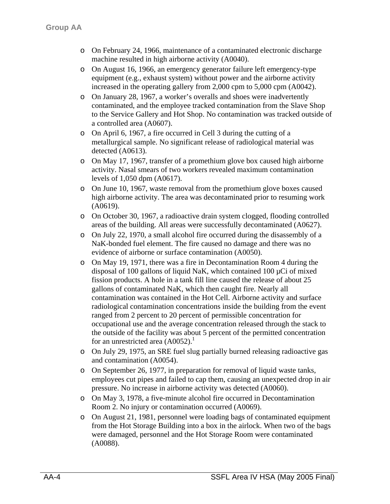- o On February 24, 1966, maintenance of a contaminated electronic discharge machine resulted in high airborne activity (A0040).
- o On August 16, 1966, an emergency generator failure left emergency-type equipment (e.g., exhaust system) without power and the airborne activity increased in the operating gallery from 2,000 cpm to 5,000 cpm (A0042).
- o On January 28, 1967, a worker's overalls and shoes were inadvertently contaminated, and the employee tracked contamination from the Slave Shop to the Service Gallery and Hot Shop. No contamination was tracked outside of a controlled area (A0607).
- o On April 6, 1967, a fire occurred in Cell 3 during the cutting of a metallurgical sample. No significant release of radiological material was detected (A0613).
- o On May 17, 1967, transfer of a promethium glove box caused high airborne activity. Nasal smears of two workers revealed maximum contamination levels of 1,050 dpm (A0617).
- o On June 10, 1967, waste removal from the promethium glove boxes caused high airborne activity. The area was decontaminated prior to resuming work (A0619).
- o On October 30, 1967, a radioactive drain system clogged, flooding controlled areas of the building. All areas were successfully decontaminated (A0627).
- o On July 22, 1970, a small alcohol fire occurred during the disassembly of a NaK-bonded fuel element. The fire caused no damage and there was no evidence of airborne or surface contamination (A0050).
- o On May 19, 1971, there was a fire in Decontamination Room 4 during the disposal of 100 gallons of liquid NaK, which contained 100 µCi of mixed fission products. A hole in a tank fill line caused the release of about 25 gallons of contaminated NaK, which then caught fire. Nearly all contamination was contained in the Hot Cell. Airborne activity and surface radiological contamination concentrations inside the building from the event ranged from 2 percent to 20 percent of permissible concentration for occupational use and the average concentration released through the stack to the outside of the facility was about 5 percent of the permitted concentration for an unrestricted area  $(A0052)$ .<sup>1</sup>
- o On July 29, 1975, an SRE fuel slug partially burned releasing radioactive gas and contamination (A0054).
- o On September 26, 1977, in preparation for removal of liquid waste tanks, employees cut pipes and failed to cap them, causing an unexpected drop in air pressure. No increase in airborne activity was detected (A0060).
- o On May 3, 1978, a five-minute alcohol fire occurred in Decontamination Room 2. No injury or contamination occurred (A0069).
- o On August 21, 1981, personnel were loading bags of contaminated equipment from the Hot Storage Building into a box in the airlock. When two of the bags were damaged, personnel and the Hot Storage Room were contaminated (A0088).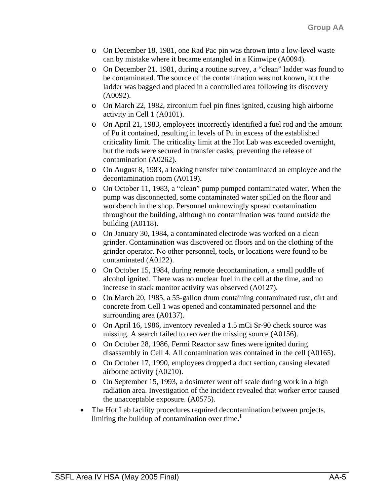- o On December 18, 1981, one Rad Pac pin was thrown into a low-level waste can by mistake where it became entangled in a Kimwipe (A0094).
- o On December 21, 1981, during a routine survey, a "clean" ladder was found to be contaminated. The source of the contamination was not known, but the ladder was bagged and placed in a controlled area following its discovery (A0092).
- o On March 22, 1982, zirconium fuel pin fines ignited, causing high airborne activity in Cell 1 (A0101).
- o On April 21, 1983, employees incorrectly identified a fuel rod and the amount of Pu it contained, resulting in levels of Pu in excess of the established criticality limit. The criticality limit at the Hot Lab was exceeded overnight, but the rods were secured in transfer casks, preventing the release of contamination (A0262).
- o On August 8, 1983, a leaking transfer tube contaminated an employee and the decontamination room (A0119).
- o On October 11, 1983, a "clean" pump pumped contaminated water. When the pump was disconnected, some contaminated water spilled on the floor and workbench in the shop. Personnel unknowingly spread contamination throughout the building, although no contamination was found outside the building (A0118).
- o On January 30, 1984, a contaminated electrode was worked on a clean grinder. Contamination was discovered on floors and on the clothing of the grinder operator. No other personnel, tools, or locations were found to be contaminated (A0122).
- o On October 15, 1984, during remote decontamination, a small puddle of alcohol ignited. There was no nuclear fuel in the cell at the time, and no increase in stack monitor activity was observed (A0127).
- o On March 20, 1985, a 55-gallon drum containing contaminated rust, dirt and concrete from Cell 1 was opened and contaminated personnel and the surrounding area (A0137).
- o On April 16, 1986, inventory revealed a 1.5 mCi Sr-90 check source was missing. A search failed to recover the missing source (A0156).
- o On October 28, 1986, Fermi Reactor saw fines were ignited during disassembly in Cell 4. All contamination was contained in the cell (A0165).
- o On October 17, 1990, employees dropped a duct section, causing elevated airborne activity (A0210).
- o On September 15, 1993, a dosimeter went off scale during work in a high radiation area. Investigation of the incident revealed that worker error caused the unacceptable exposure. (A0575).
- The Hot Lab facility procedures required decontamination between projects, limiting the buildup of contamination over time. $\frac{1}{1}$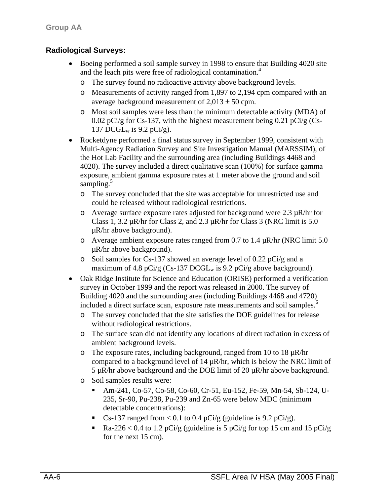## **Radiological Surveys:**

- Boeing performed a soil sample survey in 1998 to ensure that Building 4020 site and the leach pits were free of radiological contamination.<sup>4</sup>
	- o The survey found no radioactive activity above background levels.
	- o Measurements of activity ranged from 1,897 to 2,194 cpm compared with an average background measurement of  $2,013 \pm 50$  cpm.
	- o Most soil samples were less than the minimum detectable activity (MDA) of 0.02 pCi/g for Cs-137, with the highest measurement being 0.21 pCi/g (Cs-137 DCGL $_{\rm w}$  is 9.2 pCi/g).
- Rocketdyne performed a final status survey in September 1999, consistent with Multi-Agency Radiation Survey and Site Investigation Manual (MARSSIM), of the Hot Lab Facility and the surrounding area (including Buildings 4468 and 4020). The survey included a direct qualitative scan (100%) for surface gamma exposure, ambient gamma exposure rates at 1 meter above the ground and soil sampling. $5$ 
	- o The survey concluded that the site was acceptable for unrestricted use and could be released without radiological restrictions.
	- $\circ$  Average surface exposure rates adjusted for background were 2.3  $\mu$ R/hr for Class 1, 3.2 µR/hr for Class 2, and 2.3 µR/hr for Class 3 (NRC limit is 5.0 µR/hr above background).
	- o Average ambient exposure rates ranged from 0.7 to 1.4  $\mu$ R/hr (NRC limit 5.0) µR/hr above background).
	- o Soil samples for Cs-137 showed an average level of 0.22 pCi/g and a maximum of 4.8 pCi/g (Cs-137 DCGL<sub>w</sub> is 9.2 pCi/g above background).
- Oak Ridge Institute for Science and Education (ORISE) performed a verification survey in October 1999 and the report was released in 2000. The survey of Building 4020 and the surrounding area (including Buildings 4468 and 4720) included a direct surface scan, exposure rate measurements and soil samples.<sup>6</sup>
	- o The survey concluded that the site satisfies the DOE guidelines for release without radiological restrictions.
	- o The surface scan did not identify any locations of direct radiation in excess of ambient background levels.
	- o The exposure rates, including background, ranged from 10 to 18 µR/hr compared to a background level of  $14 \mu R/hr$ , which is below the NRC limit of 5  $\mu$ R/hr above background and the DOE limit of 20  $\mu$ R/hr above background.
	- o Soil samples results were:
		- Am-241, Co-57, Co-58, Co-60, Cr-51, Eu-152, Fe-59, Mn-54, Sb-124, U-235, Sr-90, Pu-238, Pu-239 and Zn-65 were below MDC (minimum detectable concentrations):
		- Cs-137 ranged from  $< 0.1$  to 0.4 pCi/g (guideline is 9.2 pCi/g).
		- Ra-226 < 0.4 to 1.2 pCi/g (guideline is 5 pCi/g for top 15 cm and 15 pCi/g for the next 15 cm).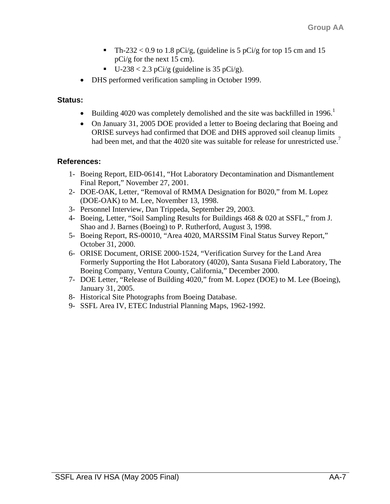- Th-232 < 0.9 to 1.8 pCi/g, (guideline is 5 pCi/g for top 15 cm and 15 pCi/g for the next 15 cm).
- $\blacksquare$  U-238 < 2.3 pCi/g (guideline is 35 pCi/g).
- DHS performed verification sampling in October 1999.

#### **Status:**

- Building 4020 was completely demolished and the site was backfilled in 1996.<sup>1</sup>
- On January 31, 2005 DOE provided a letter to Boeing declaring that Boeing and ORISE surveys had confirmed that DOE and DHS approved soil cleanup limits had been met, and that the 4020 site was suitable for release for unrestricted use.<sup>7</sup>

#### **References:**

- 1- Boeing Report, EID-06141, "Hot Laboratory Decontamination and Dismantlement Final Report," November 27, 2001.
- 2- DOE-OAK, Letter, "Removal of RMMA Designation for B020," from M. Lopez (DOE-OAK) to M. Lee, November 13, 1998.
- 3- Personnel Interview, Dan Trippeda, September 29, 2003.
- 4- Boeing, Letter, "Soil Sampling Results for Buildings 468 & 020 at SSFL," from J. Shao and J. Barnes (Boeing) to P. Rutherford, August 3, 1998.
- 5- Boeing Report, RS-00010, "Area 4020, MARSSIM Final Status Survey Report," October 31, 2000.
- 6- ORISE Document, ORISE 2000-1524, "Verification Survey for the Land Area Formerly Supporting the Hot Laboratory (4020), Santa Susana Field Laboratory, The Boeing Company, Ventura County, California," December 2000.
- 7- DOE Letter, "Release of Building 4020," from M. Lopez (DOE) to M. Lee (Boeing), January 31, 2005.
- 8- Historical Site Photographs from Boeing Database.
- 9- SSFL Area IV, ETEC Industrial Planning Maps, 1962-1992.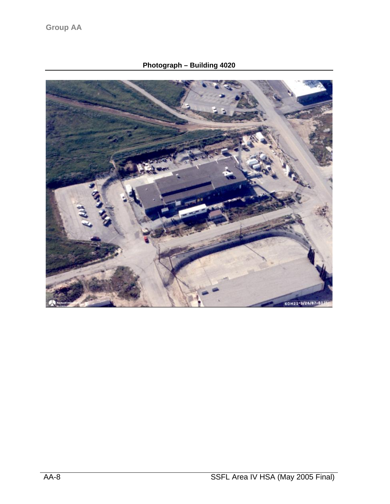**Photograph – Building 4020** 

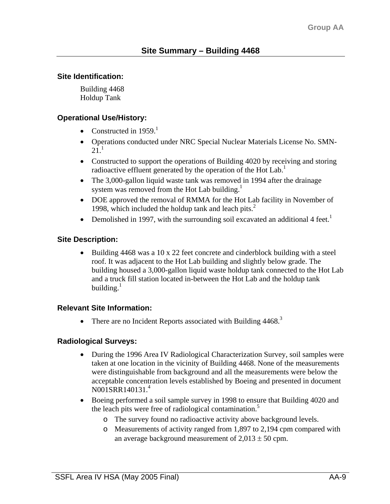### **Site Identification:**

Building 4468 Holdup Tank

### **Operational Use/History:**

- Constructed in  $1959$ <sup>1</sup>
- Operations conducted under NRC Special Nuclear Materials License No. SMN- $21<sup>1</sup>$
- Constructed to support the operations of Building 4020 by receiving and storing radioactive effluent generated by the operation of the Hot Lab.<sup>1</sup>
- The 3,000-gallon liquid waste tank was removed in 1994 after the drainage system was removed from the Hot Lab building. $<sup>1</sup>$ </sup>
- DOE approved the removal of RMMA for the Hot Lab facility in November of 1998, which included the holdup tank and leach pits. $<sup>2</sup>$ </sup>
- Demolished in 1997, with the surrounding soil excavated an additional 4 feet.<sup>1</sup>

## **Site Description:**

• Building 4468 was a 10 x 22 feet concrete and cinderblock building with a steel roof. It was adjacent to the Hot Lab building and slightly below grade. The building housed a 3,000-gallon liquid waste holdup tank connected to the Hot Lab and a truck fill station located in-between the Hot Lab and the holdup tank building. $1$ 

### **Relevant Site Information:**

• There are no Incident Reports associated with Building  $4468$ <sup>3</sup>

# **Radiological Surveys:**

- During the 1996 Area IV Radiological Characterization Survey, soil samples were taken at one location in the vicinity of Building 4468. None of the measurements were distinguishable from background and all the measurements were below the acceptable concentration levels established by Boeing and presented in document N001SRR140131.4
- Boeing performed a soil sample survey in 1998 to ensure that Building 4020 and the leach pits were free of radiological contamination.<sup>5</sup>
	- o The survey found no radioactive activity above background levels.
	- o Measurements of activity ranged from 1,897 to 2,194 cpm compared with an average background measurement of  $2,013 \pm 50$  cpm.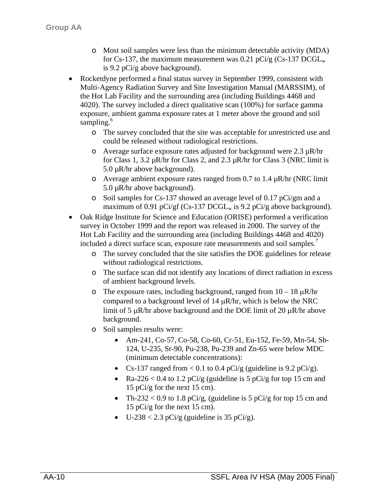- o Most soil samples were less than the minimum detectable activity (MDA) for Cs-137, the maximum measurement was 0.21 pCi/g (Cs-137  $DCGL_w$ ) is 9.2 pCi/g above background).
- Rocketdyne performed a final status survey in September 1999, consistent with Multi-Agency Radiation Survey and Site Investigation Manual (MARSSIM), of the Hot Lab Facility and the surrounding area (including Buildings 4468 and 4020). The survey included a direct qualitative scan (100%) for surface gamma exposure, ambient gamma exposure rates at 1 meter above the ground and soil sampling.<sup>6</sup>
	- o The survey concluded that the site was acceptable for unrestricted use and could be released without radiological restrictions.
	- o Average surface exposure rates adjusted for background were  $2.3 \mu R/hr$ for Class 1, 3.2  $\mu$ R/hr for Class 2, and 2.3  $\mu$ R/hr for Class 3 (NRC limit is 5.0 µR/hr above background).
	- o Average ambient exposure rates ranged from 0.7 to 1.4  $\mu$ R/hr (NRC limit 5.0 µR/hr above background).
	- o Soil samples for Cs-137 showed an average level of 0.17 pCi/gm and a maximum of 0.91 pCi/gf (Cs-137 DCGL<sub>w</sub> is 9.2 pCi/g above background).
- Oak Ridge Institute for Science and Education (ORISE) performed a verification survey in October 1999 and the report was released in 2000. The survey of the Hot Lab Facility and the surrounding area (including Buildings 4468 and 4020) included a direct surface scan, exposure rate measurements and soil samples.<sup>7</sup>
	- o The survey concluded that the site satisfies the DOE guidelines for release without radiological restrictions.
	- o The surface scan did not identify any locations of direct radiation in excess of ambient background levels.
	- o The exposure rates, including background, ranged from  $10 18 \mu R/hr$ compared to a background level of  $14 \mu R/hr$ , which is below the NRC limit of 5  $\mu$ R/hr above background and the DOE limit of 20  $\mu$ R/hr above background.
	- o Soil samples results were:
		- Am-241, Co-57, Co-58, Co-60, Cr-51, Eu-152, Fe-59, Mn-54, Sb-124, U-235, Sr-90, Pu-238, Pu-239 and Zn-65 were below MDC (minimum detectable concentrations):
		- Cs-137 ranged from  $< 0.1$  to 0.4 pCi/g (guideline is 9.2 pCi/g).
		- Ra-226 < 0.4 to 1.2 pCi/g (guideline is 5 pCi/g for top 15 cm and 15 pCi/g for the next 15 cm).
		- Th-232 < 0.9 to 1.8 pCi/g, (guideline is 5 pCi/g for top 15 cm and 15 pCi/g for the next 15 cm).
		- U-238 < 2.3 pCi/g (guideline is 35 pCi/g).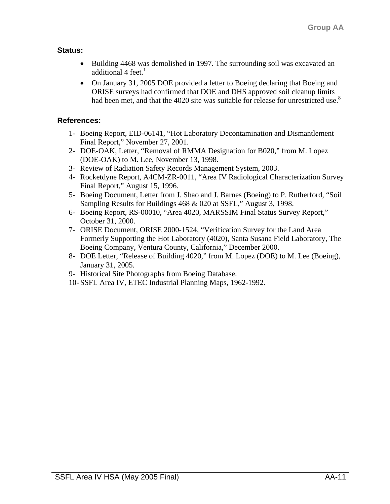# **Status:**

- Building 4468 was demolished in 1997. The surrounding soil was excavated an additional 4 feet. $1$
- On January 31, 2005 DOE provided a letter to Boeing declaring that Boeing and ORISE surveys had confirmed that DOE and DHS approved soil cleanup limits had been met, and that the 4020 site was suitable for release for unrestricted use.<sup>8</sup>

# **References:**

- 1- Boeing Report, EID-06141, "Hot Laboratory Decontamination and Dismantlement Final Report," November 27, 2001.
- 2- DOE-OAK, Letter, "Removal of RMMA Designation for B020," from M. Lopez (DOE-OAK) to M. Lee, November 13, 1998.
- 3- Review of Radiation Safety Records Management System, 2003.
- 4- Rocketdyne Report, A4CM-ZR-0011, "Area IV Radiological Characterization Survey Final Report," August 15, 1996.
- 5- Boeing Document, Letter from J. Shao and J. Barnes (Boeing) to P. Rutherford, "Soil Sampling Results for Buildings 468 & 020 at SSFL," August 3, 1998.
- 6- Boeing Report, RS-00010, "Area 4020, MARSSIM Final Status Survey Report," October 31, 2000.
- 7- ORISE Document, ORISE 2000-1524, "Verification Survey for the Land Area Formerly Supporting the Hot Laboratory (4020), Santa Susana Field Laboratory, The Boeing Company, Ventura County, California," December 2000.
- 8- DOE Letter, "Release of Building 4020," from M. Lopez (DOE) to M. Lee (Boeing), January 31, 2005.
- 9- Historical Site Photographs from Boeing Database.
- 10- SSFL Area IV, ETEC Industrial Planning Maps, 1962-1992.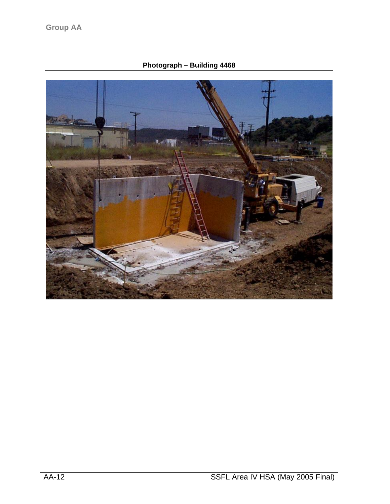**Photograph – Building 4468**